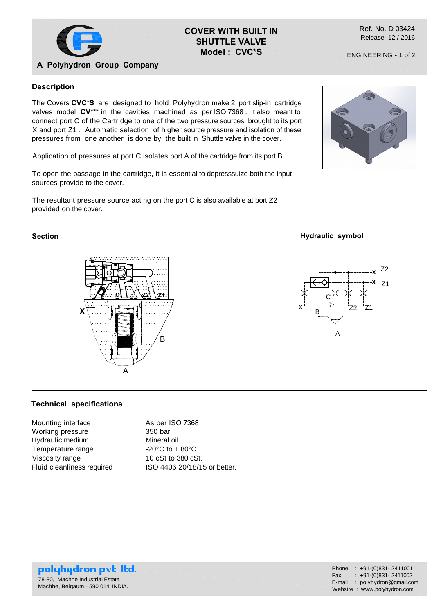

## **COVER WITH BUILT IN SHUTTLE VALVE Model : CVC\*S**

Ref. No. D 03424 Release 12 / 2016

ENGINEERING - 1 of 2

# **A Polyhydron Group Company**

### **Description**

The Covers **CVC\*S** are designed to hold Polyhydron make 2 port slip-in cartridge valves model **CV\*\*\*** in the cavities machined as per ISO 7368 . It also meant to connect port C of the Cartridge to one of the two pressure sources, brought to its port X and port Z1 . Automatic selection of higher source pressure and isolation of these pressures from one another is done by the built in Shuttle valve in the cover.

Application of pressures at port C isolates port A of the cartridge from its port B.

To open the passage in the cartridge, it is essential to depresssuize both the input sources provide to the cover.

The resultant pressure source acting on the port C is also available at port Z2 provided on the cover.

### **Section**



## **Technical specifications**

| Mounting interface         | ÷. | As per ISO 7368                       |
|----------------------------|----|---------------------------------------|
| Working pressure           |    | 350 bar.                              |
| Hydraulic medium           |    | Mineral oil.                          |
| Temperature range          | ÷  | $-20^{\circ}$ C to + 80 $^{\circ}$ C. |
| Viscosity range            |    | 10 cSt to 380 cSt.                    |
| Fluid cleanliness required | ÷  | ISO 4406 20/18/15 or better.          |

#### **Hydraulic symbol**



polyhydron pvt. Itd. 78-80, Machhe Industrial Estate, Machhe, Belgaum - 590 014. INDIA.

| Phone  | $: +91-(0)831 - 2411001$    |
|--------|-----------------------------|
| Fax    | $: +91-(0)831 - 2411002$    |
| E-mail | : $polyhydron@gmail.com$    |
|        | Website: www.polyhydron.com |